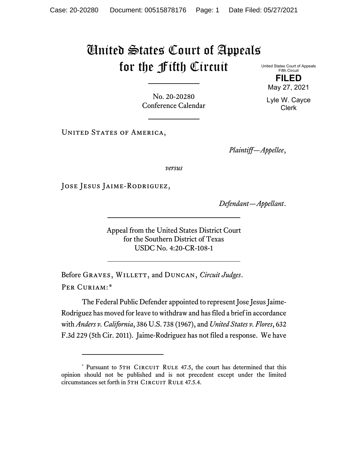## United States Court of Appeals for the Fifth Circuit

United States Court of Appeals Fifth Circuit **FILED**

No. 20-20280 Conference Calendar

UNITED STATES OF AMERICA,

*Plaintiff—Appellee*,

*versus*

Jose Jesus Jaime-Rodriguez,

*Defendant—Appellant*.

Appeal from the United States District Court for the Southern District of Texas USDC No. 4:20-CR-108-1

Before GRAVES, WILLETT, and DUNCAN, *Circuit Judges*. Per Curiam:[\\*](#page-0-0)

The Federal Public Defender appointed to represent Jose Jesus Jaime-Rodriguez has moved for leave to withdraw and has filed a brief in accordance with *Anders v. California*, 386 U.S. 738 (1967), and *United States v. Flores*, 632 F.3d 229 (5th Cir. 2011). Jaime-Rodriguez has not filed a response. We have

May 27, 2021 Lyle W. Cayce

Clerk

<span id="page-0-0"></span><sup>\*</sup> Pursuant to 5TH CIRCUIT RULE 47.5, the court has determined that this opinion should not be published and is not precedent except under the limited circumstances set forth in 5TH CIRCUIT RULE 47.5.4.